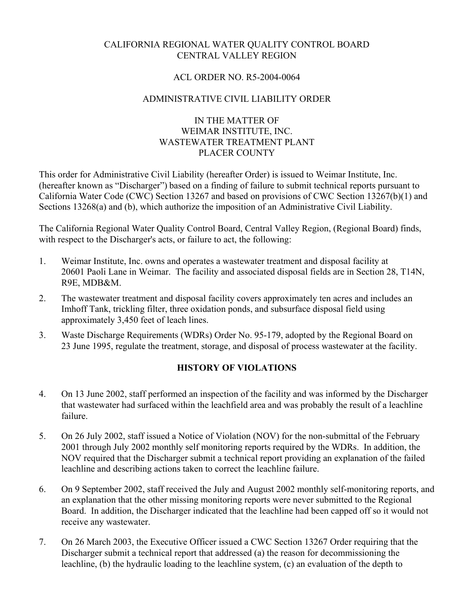# CALIFORNIA REGIONAL WATER QUALITY CONTROL BOARD CENTRAL VALLEY REGION

### ACL ORDER NO. R5-2004-0064

### ADMINISTRATIVE CIVIL LIABILITY ORDER

# IN THE MATTER OF WEIMAR INSTITUTE, INC. WASTEWATER TREATMENT PLANT PLACER COUNTY

This order for Administrative Civil Liability (hereafter Order) is issued to Weimar Institute, Inc. (hereafter known as "Discharger") based on a finding of failure to submit technical reports pursuant to California Water Code (CWC) Section 13267 and based on provisions of CWC Section 13267(b)(1) and Sections 13268(a) and (b), which authorize the imposition of an Administrative Civil Liability.

The California Regional Water Quality Control Board, Central Valley Region, (Regional Board) finds, with respect to the Discharger's acts, or failure to act, the following:

- 1. Weimar Institute, Inc. owns and operates a wastewater treatment and disposal facility at 20601 Paoli Lane in Weimar. The facility and associated disposal fields are in Section 28, T14N, R9E, MDB&M.
- 2. The wastewater treatment and disposal facility covers approximately ten acres and includes an Imhoff Tank, trickling filter, three oxidation ponds, and subsurface disposal field using approximately 3,450 feet of leach lines.
- 3. Waste Discharge Requirements (WDRs) Order No. 95-179, adopted by the Regional Board on 23 June 1995, regulate the treatment, storage, and disposal of process wastewater at the facility.

# **HISTORY OF VIOLATIONS**

- 4. On 13 June 2002, staff performed an inspection of the facility and was informed by the Discharger that wastewater had surfaced within the leachfield area and was probably the result of a leachline failure.
- 5. On 26 July 2002, staff issued a Notice of Violation (NOV) for the non-submittal of the February 2001 through July 2002 monthly self monitoring reports required by the WDRs. In addition, the NOV required that the Discharger submit a technical report providing an explanation of the failed leachline and describing actions taken to correct the leachline failure.
- 6. On 9 September 2002, staff received the July and August 2002 monthly self-monitoring reports, and an explanation that the other missing monitoring reports were never submitted to the Regional Board. In addition, the Discharger indicated that the leachline had been capped off so it would not receive any wastewater.
- 7. On 26 March 2003, the Executive Officer issued a CWC Section 13267 Order requiring that the Discharger submit a technical report that addressed (a) the reason for decommissioning the leachline, (b) the hydraulic loading to the leachline system, (c) an evaluation of the depth to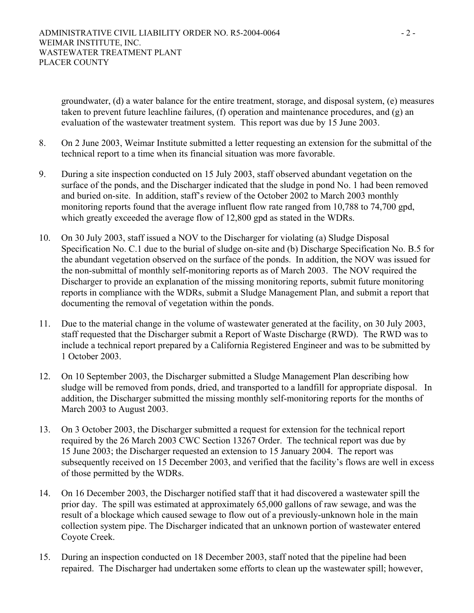groundwater, (d) a water balance for the entire treatment, storage, and disposal system, (e) measures taken to prevent future leachline failures, (f) operation and maintenance procedures, and (g) an evaluation of the wastewater treatment system. This report was due by 15 June 2003.

- 8. On 2 June 2003, Weimar Institute submitted a letter requesting an extension for the submittal of the technical report to a time when its financial situation was more favorable.
- 9. During a site inspection conducted on 15 July 2003, staff observed abundant vegetation on the surface of the ponds, and the Discharger indicated that the sludge in pond No. 1 had been removed and buried on-site. In addition, staff's review of the October 2002 to March 2003 monthly monitoring reports found that the average influent flow rate ranged from 10,788 to 74,700 gpd, which greatly exceeded the average flow of 12,800 gpd as stated in the WDRs.
- 10. On 30 July 2003, staff issued a NOV to the Discharger for violating (a) Sludge Disposal Specification No. C.1 due to the burial of sludge on-site and (b) Discharge Specification No. B.5 for the abundant vegetation observed on the surface of the ponds. In addition, the NOV was issued for the non-submittal of monthly self-monitoring reports as of March 2003. The NOV required the Discharger to provide an explanation of the missing monitoring reports, submit future monitoring reports in compliance with the WDRs, submit a Sludge Management Plan, and submit a report that documenting the removal of vegetation within the ponds.
- 11. Due to the material change in the volume of wastewater generated at the facility, on 30 July 2003, staff requested that the Discharger submit a Report of Waste Discharge (RWD). The RWD was to include a technical report prepared by a California Registered Engineer and was to be submitted by 1 October 2003.
- 12. On 10 September 2003, the Discharger submitted a Sludge Management Plan describing how sludge will be removed from ponds, dried, and transported to a landfill for appropriate disposal. In addition, the Discharger submitted the missing monthly self-monitoring reports for the months of March 2003 to August 2003.
- 13. On 3 October 2003, the Discharger submitted a request for extension for the technical report required by the 26 March 2003 CWC Section 13267 Order. The technical report was due by 15 June 2003; the Discharger requested an extension to 15 January 2004. The report was subsequently received on 15 December 2003, and verified that the facility's flows are well in excess of those permitted by the WDRs.
- 14. On 16 December 2003, the Discharger notified staff that it had discovered a wastewater spill the prior day. The spill was estimated at approximately 65,000 gallons of raw sewage, and was the result of a blockage which caused sewage to flow out of a previously-unknown hole in the main collection system pipe. The Discharger indicated that an unknown portion of wastewater entered Coyote Creek.
- 15. During an inspection conducted on 18 December 2003, staff noted that the pipeline had been repaired. The Discharger had undertaken some efforts to clean up the wastewater spill; however,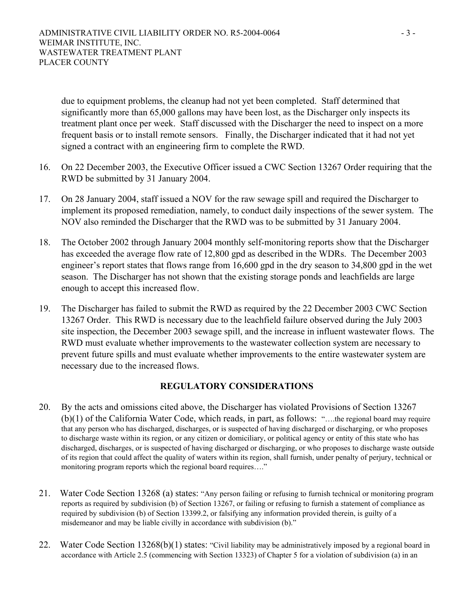due to equipment problems, the cleanup had not yet been completed. Staff determined that significantly more than 65,000 gallons may have been lost, as the Discharger only inspects its treatment plant once per week. Staff discussed with the Discharger the need to inspect on a more frequent basis or to install remote sensors. Finally, the Discharger indicated that it had not yet signed a contract with an engineering firm to complete the RWD.

- 16. On 22 December 2003, the Executive Officer issued a CWC Section 13267 Order requiring that the RWD be submitted by 31 January 2004.
- 17. On 28 January 2004, staff issued a NOV for the raw sewage spill and required the Discharger to implement its proposed remediation, namely, to conduct daily inspections of the sewer system. The NOV also reminded the Discharger that the RWD was to be submitted by 31 January 2004.
- 18. The October 2002 through January 2004 monthly self-monitoring reports show that the Discharger has exceeded the average flow rate of 12,800 gpd as described in the WDRs. The December 2003 engineer's report states that flows range from 16,600 gpd in the dry season to 34,800 gpd in the wet season. The Discharger has not shown that the existing storage ponds and leachfields are large enough to accept this increased flow.
- 19. The Discharger has failed to submit the RWD as required by the 22 December 2003 CWC Section 13267 Order. This RWD is necessary due to the leachfield failure observed during the July 2003 site inspection, the December 2003 sewage spill, and the increase in influent wastewater flows. The RWD must evaluate whether improvements to the wastewater collection system are necessary to prevent future spills and must evaluate whether improvements to the entire wastewater system are necessary due to the increased flows.

# **REGULATORY CONSIDERATIONS**

- 20. By the acts and omissions cited above, the Discharger has violated Provisions of Section 13267 (b)(1) of the California Water Code, which reads, in part, as follows: "….the regional board may require that any person who has discharged, discharges, or is suspected of having discharged or discharging, or who proposes to discharge waste within its region, or any citizen or domiciliary, or political agency or entity of this state who has discharged, discharges, or is suspected of having discharged or discharging, or who proposes to discharge waste outside of its region that could affect the quality of waters within its region, shall furnish, under penalty of perjury, technical or monitoring program reports which the regional board requires…."
- 21. Water Code Section 13268 (a) states: "Any person failing or refusing to furnish technical or monitoring program reports as required by subdivision (b) of Section 13267, or failing or refusing to furnish a statement of compliance as required by subdivision (b) of Section 13399.2, or falsifying any information provided therein, is guilty of a misdemeanor and may be liable civilly in accordance with subdivision (b)."
- 22. Water Code Section 13268(b)(1) states: "Civil liability may be administratively imposed by a regional board in accordance with Article 2.5 (commencing with Section 13323) of Chapter 5 for a violation of subdivision (a) in an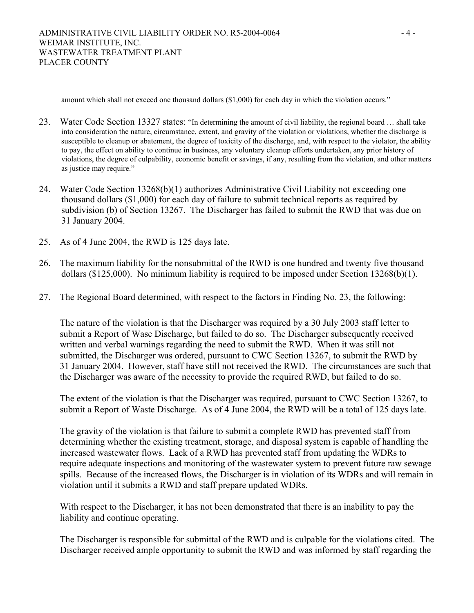amount which shall not exceed one thousand dollars (\$1,000) for each day in which the violation occurs."

- 23. Water Code Section 13327 states: "In determining the amount of civil liability, the regional board … shall take into consideration the nature, circumstance, extent, and gravity of the violation or violations, whether the discharge is susceptible to cleanup or abatement, the degree of toxicity of the discharge, and, with respect to the violator, the ability to pay, the effect on ability to continue in business, any voluntary cleanup efforts undertaken, any prior history of violations, the degree of culpability, economic benefit or savings, if any, resulting from the violation, and other matters as justice may require."
- 24. Water Code Section 13268(b)(1) authorizes Administrative Civil Liability not exceeding one thousand dollars (\$1,000) for each day of failure to submit technical reports as required by subdivision (b) of Section 13267. The Discharger has failed to submit the RWD that was due on 31 January 2004.
- 25. As of 4 June 2004, the RWD is 125 days late.
- 26. The maximum liability for the nonsubmittal of the RWD is one hundred and twenty five thousand dollars (\$125,000). No minimum liability is required to be imposed under Section 13268(b)(1).
- 27. The Regional Board determined, with respect to the factors in Finding No. 23, the following:

The nature of the violation is that the Discharger was required by a 30 July 2003 staff letter to submit a Report of Wase Discharge, but failed to do so. The Discharger subsequently received written and verbal warnings regarding the need to submit the RWD. When it was still not submitted, the Discharger was ordered, pursuant to CWC Section 13267, to submit the RWD by 31 January 2004. However, staff have still not received the RWD. The circumstances are such that the Discharger was aware of the necessity to provide the required RWD, but failed to do so.

The extent of the violation is that the Discharger was required, pursuant to CWC Section 13267, to submit a Report of Waste Discharge. As of 4 June 2004, the RWD will be a total of 125 days late.

The gravity of the violation is that failure to submit a complete RWD has prevented staff from determining whether the existing treatment, storage, and disposal system is capable of handling the increased wastewater flows. Lack of a RWD has prevented staff from updating the WDRs to require adequate inspections and monitoring of the wastewater system to prevent future raw sewage spills. Because of the increased flows, the Discharger is in violation of its WDRs and will remain in violation until it submits a RWD and staff prepare updated WDRs.

With respect to the Discharger, it has not been demonstrated that there is an inability to pay the liability and continue operating.

The Discharger is responsible for submittal of the RWD and is culpable for the violations cited. The Discharger received ample opportunity to submit the RWD and was informed by staff regarding the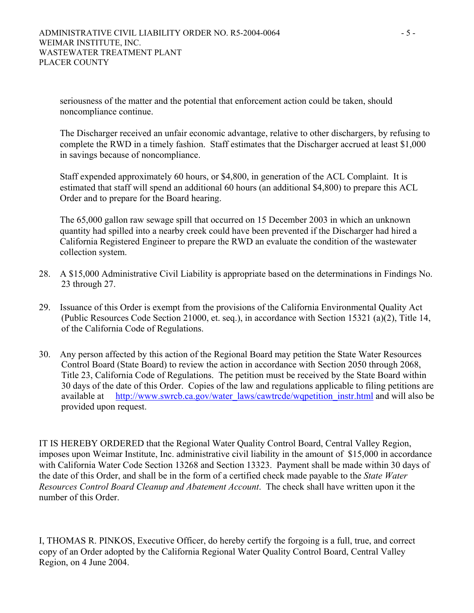seriousness of the matter and the potential that enforcement action could be taken, should noncompliance continue.

The Discharger received an unfair economic advantage, relative to other dischargers, by refusing to complete the RWD in a timely fashion. Staff estimates that the Discharger accrued at least \$1,000 in savings because of noncompliance.

Staff expended approximately 60 hours, or \$4,800, in generation of the ACL Complaint. It is estimated that staff will spend an additional 60 hours (an additional \$4,800) to prepare this ACL Order and to prepare for the Board hearing.

The 65,000 gallon raw sewage spill that occurred on 15 December 2003 in which an unknown quantity had spilled into a nearby creek could have been prevented if the Discharger had hired a California Registered Engineer to prepare the RWD an evaluate the condition of the wastewater collection system.

- 28. A \$15,000 Administrative Civil Liability is appropriate based on the determinations in Findings No. 23 through 27.
- 29. Issuance of this Order is exempt from the provisions of the California Environmental Quality Act (Public Resources Code Section 21000, et. seq.), in accordance with Section 15321 (a)(2), Title 14, of the California Code of Regulations.
- 30. Any person affected by this action of the Regional Board may petition the State Water Resources Control Board (State Board) to review the action in accordance with Section 2050 through 2068, Title 23, California Code of Regulations. The petition must be received by the State Board within 30 days of the date of this Order. Copies of the law and regulations applicable to filing petitions are available at http://www.swrcb.ca.gov/water\_laws/cawtrcde/wqpetition\_instr.html and will also be provided upon request.

IT IS HEREBY ORDERED that the Regional Water Quality Control Board, Central Valley Region, imposes upon Weimar Institute, Inc. administrative civil liability in the amount of \$15,000 in accordance with California Water Code Section 13268 and Section 13323. Payment shall be made within 30 days of the date of this Order, and shall be in the form of a certified check made payable to the *State Water Resources Control Board Cleanup and Abatement Account*. The check shall have written upon it the number of this Order.

I, THOMAS R. PINKOS, Executive Officer, do hereby certify the forgoing is a full, true, and correct copy of an Order adopted by the California Regional Water Quality Control Board, Central Valley Region, on 4 June 2004.